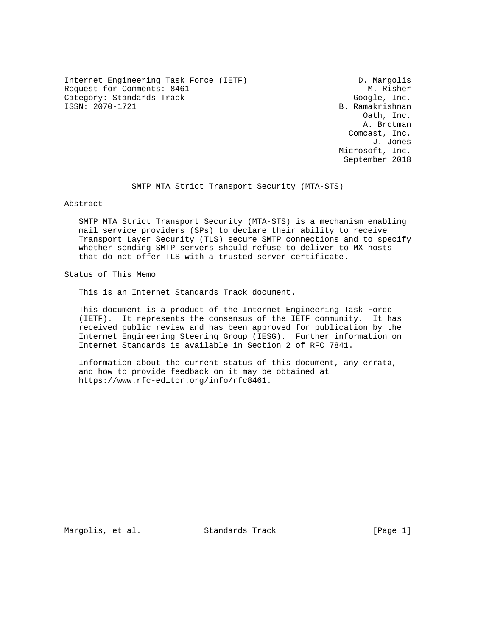Internet Engineering Task Force (IETF) D. Margolis Request for Comments: 8461 M. Risher Category: Standards Track Google, Inc.<br>
ISSN: 2070-1721 B. Ramakrishnan

B. Ramakrishnan Oath, Inc. A. Brotman Comcast, Inc. J. Jones Microsoft, Inc. September 2018

SMTP MTA Strict Transport Security (MTA-STS)

Abstract

 SMTP MTA Strict Transport Security (MTA-STS) is a mechanism enabling mail service providers (SPs) to declare their ability to receive Transport Layer Security (TLS) secure SMTP connections and to specify whether sending SMTP servers should refuse to deliver to MX hosts that do not offer TLS with a trusted server certificate.

Status of This Memo

This is an Internet Standards Track document.

 This document is a product of the Internet Engineering Task Force (IETF). It represents the consensus of the IETF community. It has received public review and has been approved for publication by the Internet Engineering Steering Group (IESG). Further information on Internet Standards is available in Section 2 of RFC 7841.

 Information about the current status of this document, any errata, and how to provide feedback on it may be obtained at https://www.rfc-editor.org/info/rfc8461.

Margolis, et al. Standards Track [Page 1]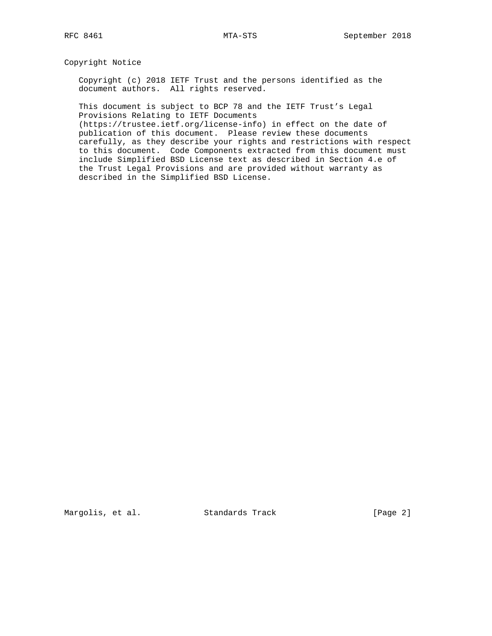Copyright Notice

 Copyright (c) 2018 IETF Trust and the persons identified as the document authors. All rights reserved.

 This document is subject to BCP 78 and the IETF Trust's Legal Provisions Relating to IETF Documents

 (https://trustee.ietf.org/license-info) in effect on the date of publication of this document. Please review these documents carefully, as they describe your rights and restrictions with respect to this document. Code Components extracted from this document must include Simplified BSD License text as described in Section 4.e of the Trust Legal Provisions and are provided without warranty as described in the Simplified BSD License.

Margolis, et al. Standards Track [Page 2]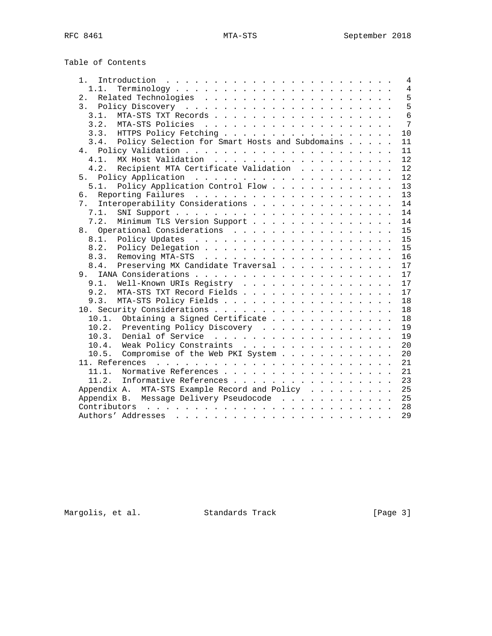| Table of Contents |  |
|-------------------|--|
|-------------------|--|

| 1.1.<br>2.<br>3.1.<br>3.2.<br>HTTPS Policy Fetching<br>10<br>3.3.<br>Policy Selection for Smart Hosts and Subdomains<br>3.4.<br>11<br>11<br>4.1.<br>12<br>Recipient MTA Certificate Validation<br>4.2.<br>12<br>12<br>Policy Application Control Flow<br>5.1.<br>13<br>13<br>б.<br>Interoperability Considerations<br>7.<br>14<br>7.1.<br>14 | $\overline{4}$ |
|----------------------------------------------------------------------------------------------------------------------------------------------------------------------------------------------------------------------------------------------------------------------------------------------------------------------------------------------|----------------|
|                                                                                                                                                                                                                                                                                                                                              | $\overline{4}$ |
|                                                                                                                                                                                                                                                                                                                                              | 5              |
|                                                                                                                                                                                                                                                                                                                                              | 5              |
|                                                                                                                                                                                                                                                                                                                                              | 6              |
|                                                                                                                                                                                                                                                                                                                                              | $\overline{7}$ |
|                                                                                                                                                                                                                                                                                                                                              |                |
|                                                                                                                                                                                                                                                                                                                                              |                |
|                                                                                                                                                                                                                                                                                                                                              |                |
|                                                                                                                                                                                                                                                                                                                                              |                |
|                                                                                                                                                                                                                                                                                                                                              |                |
|                                                                                                                                                                                                                                                                                                                                              |                |
|                                                                                                                                                                                                                                                                                                                                              |                |
|                                                                                                                                                                                                                                                                                                                                              |                |
|                                                                                                                                                                                                                                                                                                                                              |                |
|                                                                                                                                                                                                                                                                                                                                              |                |
| Minimum TLS Version Support<br>7.2.                                                                                                                                                                                                                                                                                                          | 14             |
| 8. Operational Considerations<br>15                                                                                                                                                                                                                                                                                                          |                |
| 15<br>8.1.                                                                                                                                                                                                                                                                                                                                   |                |
| 8.2.<br>15                                                                                                                                                                                                                                                                                                                                   |                |
| 16<br>8.3.                                                                                                                                                                                                                                                                                                                                   |                |
| 8.4.<br>Preserving MX Candidate Traversal<br>17                                                                                                                                                                                                                                                                                              |                |
| 17                                                                                                                                                                                                                                                                                                                                           |                |
| 9.1.<br>Well-Known URIs Registry<br>17                                                                                                                                                                                                                                                                                                       |                |
| 9.2.<br>MTA-STS TXT Record Fields<br>17                                                                                                                                                                                                                                                                                                      |                |
| MTA-STS Policy Fields<br>9.3.<br>18                                                                                                                                                                                                                                                                                                          |                |
| 18                                                                                                                                                                                                                                                                                                                                           |                |
| 10.1. Obtaining a Signed Certificate<br>18                                                                                                                                                                                                                                                                                                   |                |
| 10.2.<br>Preventing Policy Discovery<br>19                                                                                                                                                                                                                                                                                                   |                |
| 10.3.<br>19                                                                                                                                                                                                                                                                                                                                  |                |
| Weak Policy Constraints<br>10.4.<br>20                                                                                                                                                                                                                                                                                                       |                |
| Compromise of the Web PKI System<br>20<br>10.5.                                                                                                                                                                                                                                                                                              |                |
| 21                                                                                                                                                                                                                                                                                                                                           |                |
| Normative References<br>21<br>11.1.                                                                                                                                                                                                                                                                                                          |                |
| 23<br>11.2.<br>Informative References                                                                                                                                                                                                                                                                                                        |                |
| Appendix A. MTA-STS Example Record and Policy<br>25                                                                                                                                                                                                                                                                                          |                |
| Appendix B. Message Delivery Pseudocode<br>25                                                                                                                                                                                                                                                                                                |                |
| 28                                                                                                                                                                                                                                                                                                                                           |                |
| 29                                                                                                                                                                                                                                                                                                                                           |                |

Margolis, et al. Standards Track [Page 3]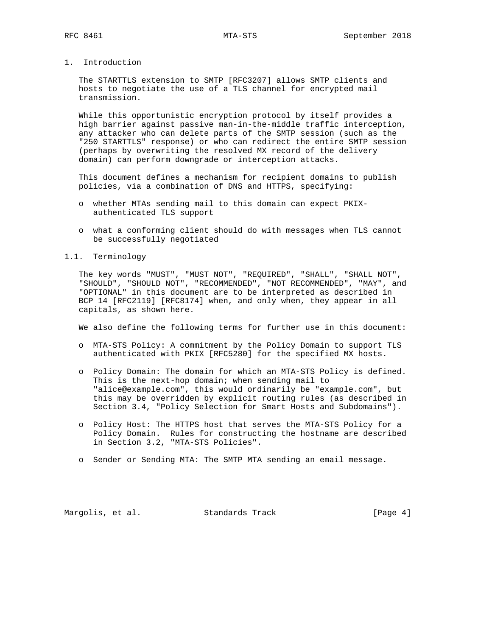1. Introduction

 The STARTTLS extension to SMTP [RFC3207] allows SMTP clients and hosts to negotiate the use of a TLS channel for encrypted mail transmission.

 While this opportunistic encryption protocol by itself provides a high barrier against passive man-in-the-middle traffic interception, any attacker who can delete parts of the SMTP session (such as the "250 STARTTLS" response) or who can redirect the entire SMTP session (perhaps by overwriting the resolved MX record of the delivery domain) can perform downgrade or interception attacks.

 This document defines a mechanism for recipient domains to publish policies, via a combination of DNS and HTTPS, specifying:

- o whether MTAs sending mail to this domain can expect PKIX authenticated TLS support
- o what a conforming client should do with messages when TLS cannot be successfully negotiated
- 1.1. Terminology

 The key words "MUST", "MUST NOT", "REQUIRED", "SHALL", "SHALL NOT", "SHOULD", "SHOULD NOT", "RECOMMENDED", "NOT RECOMMENDED", "MAY", and "OPTIONAL" in this document are to be interpreted as described in BCP 14 [RFC2119] [RFC8174] when, and only when, they appear in all capitals, as shown here.

We also define the following terms for further use in this document:

- o MTA-STS Policy: A commitment by the Policy Domain to support TLS authenticated with PKIX [RFC5280] for the specified MX hosts.
- o Policy Domain: The domain for which an MTA-STS Policy is defined. This is the next-hop domain; when sending mail to "alice@example.com", this would ordinarily be "example.com", but this may be overridden by explicit routing rules (as described in Section 3.4, "Policy Selection for Smart Hosts and Subdomains").
- o Policy Host: The HTTPS host that serves the MTA-STS Policy for a Policy Domain. Rules for constructing the hostname are described in Section 3.2, "MTA-STS Policies".
- o Sender or Sending MTA: The SMTP MTA sending an email message.

Margolis, et al. Standards Track [Page 4]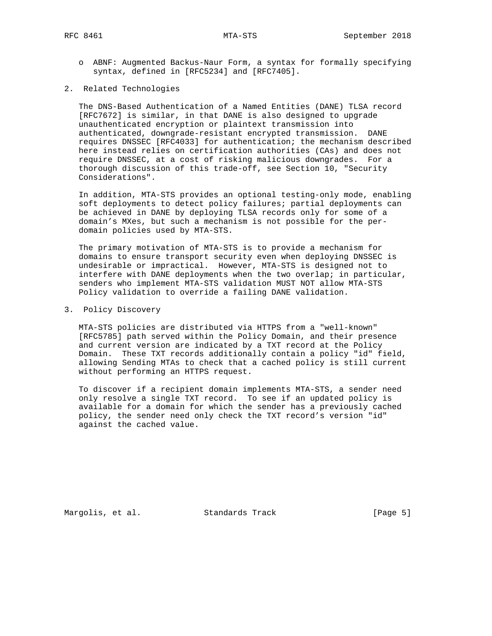- o ABNF: Augmented Backus-Naur Form, a syntax for formally specifying syntax, defined in [RFC5234] and [RFC7405].
- 2. Related Technologies

 The DNS-Based Authentication of a Named Entities (DANE) TLSA record [RFC7672] is similar, in that DANE is also designed to upgrade unauthenticated encryption or plaintext transmission into authenticated, downgrade-resistant encrypted transmission. DANE requires DNSSEC [RFC4033] for authentication; the mechanism described here instead relies on certification authorities (CAs) and does not require DNSSEC, at a cost of risking malicious downgrades. For a thorough discussion of this trade-off, see Section 10, "Security Considerations".

 In addition, MTA-STS provides an optional testing-only mode, enabling soft deployments to detect policy failures; partial deployments can be achieved in DANE by deploying TLSA records only for some of a domain's MXes, but such a mechanism is not possible for the per domain policies used by MTA-STS.

 The primary motivation of MTA-STS is to provide a mechanism for domains to ensure transport security even when deploying DNSSEC is undesirable or impractical. However, MTA-STS is designed not to interfere with DANE deployments when the two overlap; in particular, senders who implement MTA-STS validation MUST NOT allow MTA-STS Policy validation to override a failing DANE validation.

3. Policy Discovery

 MTA-STS policies are distributed via HTTPS from a "well-known" [RFC5785] path served within the Policy Domain, and their presence and current version are indicated by a TXT record at the Policy Domain. These TXT records additionally contain a policy "id" field, allowing Sending MTAs to check that a cached policy is still current without performing an HTTPS request.

 To discover if a recipient domain implements MTA-STS, a sender need only resolve a single TXT record. To see if an updated policy is available for a domain for which the sender has a previously cached policy, the sender need only check the TXT record's version "id" against the cached value.

Margolis, et al. Standards Track [Page 5]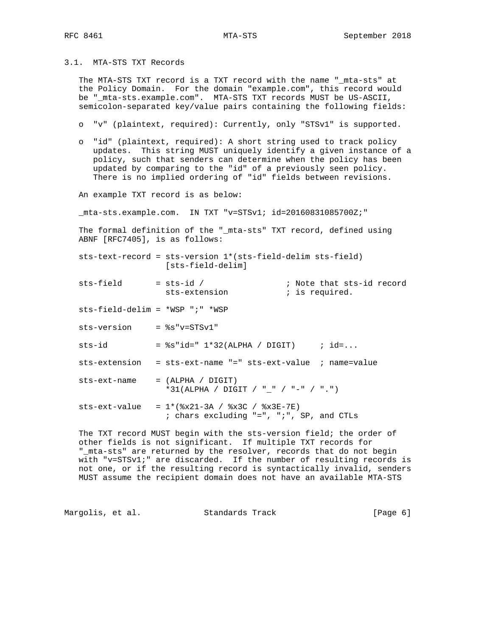3.1. MTA-STS TXT Records

 The MTA-STS TXT record is a TXT record with the name "\_mta-sts" at the Policy Domain. For the domain "example.com", this record would be "\_mta-sts.example.com". MTA-STS TXT records MUST be US-ASCII, semicolon-separated key/value pairs containing the following fields:

- o "v" (plaintext, required): Currently, only "STSv1" is supported.
- o "id" (plaintext, required): A short string used to track policy updates. This string MUST uniquely identify a given instance of a policy, such that senders can determine when the policy has been updated by comparing to the "id" of a previously seen policy. There is no implied ordering of "id" fields between revisions.

An example TXT record is as below:

\_mta-sts.example.com. IN TXT "v=STSv1; id=20160831085700Z;"

 The formal definition of the "\_mta-sts" TXT record, defined using ABNF [RFC7405], is as follows:

 sts-text-record = sts-version 1\*(sts-field-delim sts-field) [sts-field-delim]

- sts-field = sts-id / ; Note that sts-id record sts-extension that is required.
	- sts-field-delim = \*WSP ";" \*WSP
	- sts-version = %s"v=STSv1"
	- sts-id  $=$   $s$ s"id=" 1\*32(ALPHA / DIGIT) ; id=...
	- sts-extension = sts-ext-name "=" sts-ext-value ; name=value
	- sts-ext-name = (ALPHA / DIGIT) \*31(ALPHA / DIGIT / "\_" / "-" / ".")
	- sts-ext-value =  $1*(8x21-3A / 8x3C / 8x3E-7E)$ ; chars excluding "=", ";", SP, and CTLs

 The TXT record MUST begin with the sts-version field; the order of other fields is not significant. If multiple TXT records for "\_mta-sts" are returned by the resolver, records that do not begin with "v=STSv1;" are discarded. If the number of resulting records is not one, or if the resulting record is syntactically invalid, senders MUST assume the recipient domain does not have an available MTA-STS

Margolis, et al. Standards Track [Page 6]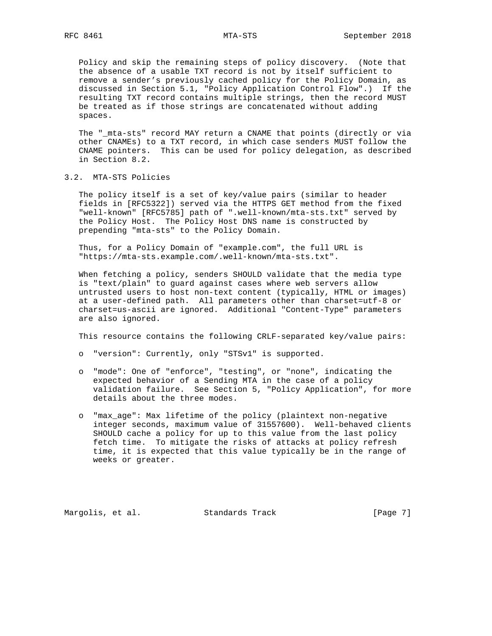Policy and skip the remaining steps of policy discovery. (Note that the absence of a usable TXT record is not by itself sufficient to remove a sender's previously cached policy for the Policy Domain, as discussed in Section 5.1, "Policy Application Control Flow".) If the resulting TXT record contains multiple strings, then the record MUST be treated as if those strings are concatenated without adding spaces.

 The "\_mta-sts" record MAY return a CNAME that points (directly or via other CNAMEs) to a TXT record, in which case senders MUST follow the CNAME pointers. This can be used for policy delegation, as described in Section 8.2.

3.2. MTA-STS Policies

 The policy itself is a set of key/value pairs (similar to header fields in [RFC5322]) served via the HTTPS GET method from the fixed "well-known" [RFC5785] path of ".well-known/mta-sts.txt" served by the Policy Host. The Policy Host DNS name is constructed by prepending "mta-sts" to the Policy Domain.

 Thus, for a Policy Domain of "example.com", the full URL is "https://mta-sts.example.com/.well-known/mta-sts.txt".

 When fetching a policy, senders SHOULD validate that the media type is "text/plain" to guard against cases where web servers allow untrusted users to host non-text content (typically, HTML or images) at a user-defined path. All parameters other than charset=utf-8 or charset=us-ascii are ignored. Additional "Content-Type" parameters are also ignored.

This resource contains the following CRLF-separated key/value pairs:

- o "version": Currently, only "STSv1" is supported.
- o "mode": One of "enforce", "testing", or "none", indicating the expected behavior of a Sending MTA in the case of a policy validation failure. See Section 5, "Policy Application", for more details about the three modes.
- o "max\_age": Max lifetime of the policy (plaintext non-negative integer seconds, maximum value of 31557600). Well-behaved clients SHOULD cache a policy for up to this value from the last policy fetch time. To mitigate the risks of attacks at policy refresh time, it is expected that this value typically be in the range of weeks or greater.

Margolis, et al. Standards Track [Page 7]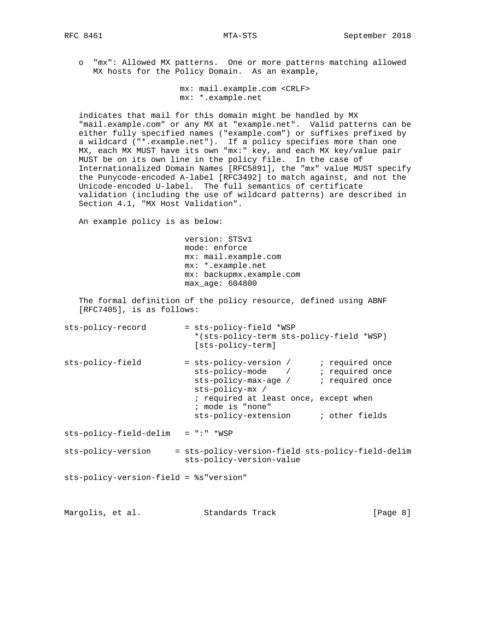o "mx": Allowed MX patterns. One or more patterns matching allowed MX hosts for the Policy Domain. As an example,

```
 mx: mail.example.com <CRLF>
 mx: *.example.net
```
 indicates that mail for this domain might be handled by MX "mail.example.com" or any MX at "example.net". Valid patterns can be either fully specified names ("example.com") or suffixes prefixed by a wildcard ("\*.example.net"). If a policy specifies more than one MX, each MX MUST have its own "mx:" key, and each MX key/value pair MUST be on its own line in the policy file. In the case of Internationalized Domain Names [RFC5891], the "mx" value MUST specify the Punycode-encoded A-label [RFC3492] to match against, and not the Unicode-encoded U-label. The full semantics of certificate validation (including the use of wildcard patterns) are described in Section 4.1, "MX Host Validation".

An example policy is as below:

 version: STSv1 mode: enforce mx: mail.example.com mx: \*.example.net mx: backupmx.example.com max\_age: 604800

 The formal definition of the policy resource, defined using ABNF [RFC7405], is as follows:

| sts-policy-record                      | = sts-policy-field *WSP<br>*(sts-policy-term sts-policy-field *WSP)<br>[sts-policy-term]                                                                                                         |  |
|----------------------------------------|--------------------------------------------------------------------------------------------------------------------------------------------------------------------------------------------------|--|
| sts-policy-field                       | sts-policy-mode / ; required once<br>sts-policy-max-age / i required once<br>sts-policy-mx /<br>; required at least once, except when<br>; mode is "none"<br>sts-policy-extension i other fields |  |
| sts-policy-field-delim                 | $= " : " * WSP$                                                                                                                                                                                  |  |
| sts-policy-version                     | = sts-policy-version-field sts-policy-field-delim<br>sts-policy-version-value                                                                                                                    |  |
| sts-policy-version-field = %s"version" |                                                                                                                                                                                                  |  |

Margolis, et al. Standards Track [Page 8]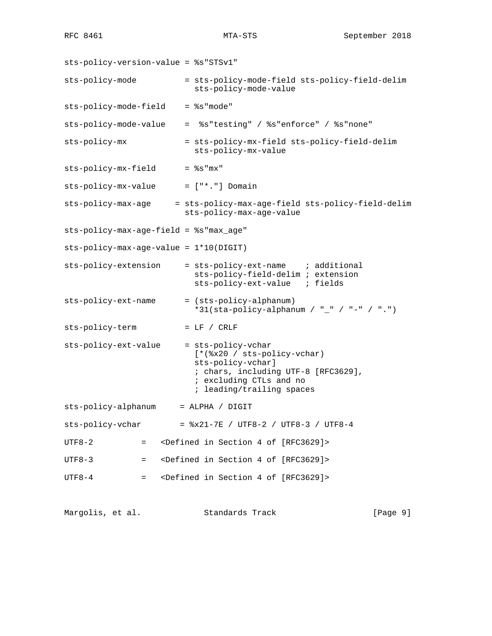sts-policy-version-value = %s"STSv1" sts-policy-mode = sts-policy-mode-field sts-policy-field-delim sts-policy-mode-value sts-policy-mode-field = %s"mode" sts-policy-mode-value = %s"testing" / %s"enforce" / %s"none" sts-policy-mx = sts-policy-mx-field sts-policy-field-delim sts-policy-mx-value sts-policy-mx-field = %s"mx" sts-policy-mx-value = ["\*."] Domain sts-policy-max-age = sts-policy-max-age-field sts-policy-field-delim sts-policy-max-age-value sts-policy-max-age-field = %s"max\_age" sts-policy-max-age-value = 1\*10(DIGIT) sts-policy-extension = sts-policy-ext-name ; additional sts-policy-field-delim ; extension sts-policy-ext-value ; fields sts-policy-ext-name = (sts-policy-alphanum) \*31(sta-policy-alphanum / "\_" / "-" / ".") sts-policy-term = LF / CRLF sts-policy-ext-value = sts-policy-vchar [\*(%x20 / sts-policy-vchar) sts-policy-vchar] ; chars, including UTF-8 [RFC3629], ; excluding CTLs and no ; leading/trailing spaces sts-policy-alphanum = ALPHA / DIGIT  $sts-policy-vchar =  $8x21-7E$  / UTF8-2 / UTF8-3 / UTF8-4$ UTF8-2 = <Defined in Section 4 of [RFC3629]> UTF8-3 = <Defined in Section 4 of [RFC3629]> UTF8-4 = <Defined in Section 4 of [RFC3629]>

Margolis, et al. Standards Track [Page 9]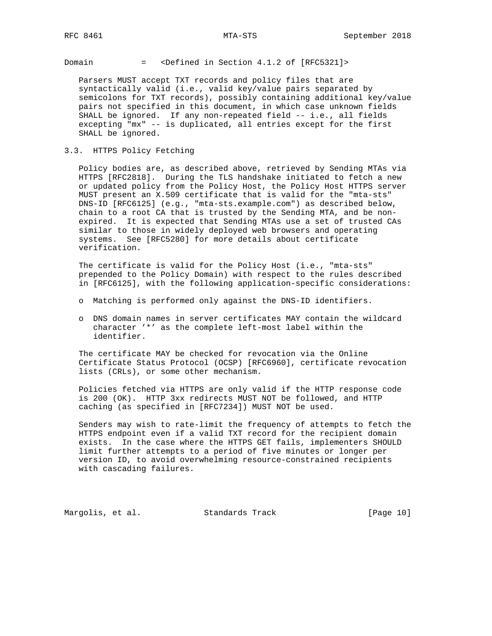Domain = <Defined in Section 4.1.2 of [RFC5321]>

 Parsers MUST accept TXT records and policy files that are syntactically valid (i.e., valid key/value pairs separated by semicolons for TXT records), possibly containing additional key/value pairs not specified in this document, in which case unknown fields SHALL be ignored. If any non-repeated field -- i.e., all fields excepting "mx" -- is duplicated, all entries except for the first SHALL be ignored.

3.3. HTTPS Policy Fetching

 Policy bodies are, as described above, retrieved by Sending MTAs via HTTPS [RFC2818]. During the TLS handshake initiated to fetch a new or updated policy from the Policy Host, the Policy Host HTTPS server MUST present an X.509 certificate that is valid for the "mta-sts" DNS-ID [RFC6125] (e.g., "mta-sts.example.com") as described below, chain to a root CA that is trusted by the Sending MTA, and be non expired. It is expected that Sending MTAs use a set of trusted CAs similar to those in widely deployed web browsers and operating systems. See [RFC5280] for more details about certificate verification.

 The certificate is valid for the Policy Host (i.e., "mta-sts" prepended to the Policy Domain) with respect to the rules described in [RFC6125], with the following application-specific considerations:

- o Matching is performed only against the DNS-ID identifiers.
- o DNS domain names in server certificates MAY contain the wildcard character '\*' as the complete left-most label within the identifier.

 The certificate MAY be checked for revocation via the Online Certificate Status Protocol (OCSP) [RFC6960], certificate revocation lists (CRLs), or some other mechanism.

 Policies fetched via HTTPS are only valid if the HTTP response code is 200 (OK). HTTP 3xx redirects MUST NOT be followed, and HTTP caching (as specified in [RFC7234]) MUST NOT be used.

 Senders may wish to rate-limit the frequency of attempts to fetch the HTTPS endpoint even if a valid TXT record for the recipient domain exists. In the case where the HTTPS GET fails, implementers SHOULD limit further attempts to a period of five minutes or longer per version ID, to avoid overwhelming resource-constrained recipients with cascading failures.

Margolis, et al. Standards Track [Page 10]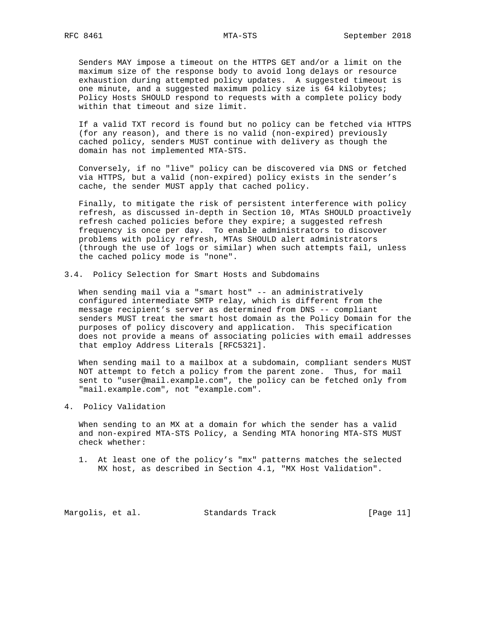Senders MAY impose a timeout on the HTTPS GET and/or a limit on the maximum size of the response body to avoid long delays or resource exhaustion during attempted policy updates. A suggested timeout is one minute, and a suggested maximum policy size is 64 kilobytes; Policy Hosts SHOULD respond to requests with a complete policy body within that timeout and size limit.

 If a valid TXT record is found but no policy can be fetched via HTTPS (for any reason), and there is no valid (non-expired) previously cached policy, senders MUST continue with delivery as though the domain has not implemented MTA-STS.

 Conversely, if no "live" policy can be discovered via DNS or fetched via HTTPS, but a valid (non-expired) policy exists in the sender's cache, the sender MUST apply that cached policy.

 Finally, to mitigate the risk of persistent interference with policy refresh, as discussed in-depth in Section 10, MTAs SHOULD proactively refresh cached policies before they expire; a suggested refresh frequency is once per day. To enable administrators to discover problems with policy refresh, MTAs SHOULD alert administrators (through the use of logs or similar) when such attempts fail, unless the cached policy mode is "none".

3.4. Policy Selection for Smart Hosts and Subdomains

When sending mail via a "smart host" -- an administratively configured intermediate SMTP relay, which is different from the message recipient's server as determined from DNS -- compliant senders MUST treat the smart host domain as the Policy Domain for the purposes of policy discovery and application. This specification does not provide a means of associating policies with email addresses that employ Address Literals [RFC5321].

 When sending mail to a mailbox at a subdomain, compliant senders MUST NOT attempt to fetch a policy from the parent zone. Thus, for mail sent to "user@mail.example.com", the policy can be fetched only from "mail.example.com", not "example.com".

### 4. Policy Validation

 When sending to an MX at a domain for which the sender has a valid and non-expired MTA-STS Policy, a Sending MTA honoring MTA-STS MUST check whether:

 1. At least one of the policy's "mx" patterns matches the selected MX host, as described in Section 4.1, "MX Host Validation".

Margolis, et al. Standards Track [Page 11]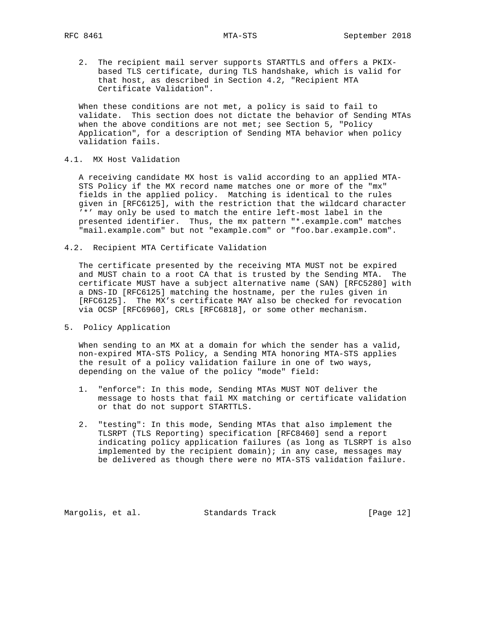2. The recipient mail server supports STARTTLS and offers a PKIX based TLS certificate, during TLS handshake, which is valid for that host, as described in Section 4.2, "Recipient MTA Certificate Validation".

 When these conditions are not met, a policy is said to fail to validate. This section does not dictate the behavior of Sending MTAs when the above conditions are not met; see Section 5, "Policy Application", for a description of Sending MTA behavior when policy validation fails.

### 4.1. MX Host Validation

 A receiving candidate MX host is valid according to an applied MTA- STS Policy if the MX record name matches one or more of the "mx" fields in the applied policy. Matching is identical to the rules given in [RFC6125], with the restriction that the wildcard character '\*' may only be used to match the entire left-most label in the presented identifier. Thus, the mx pattern "\*.example.com" matches "mail.example.com" but not "example.com" or "foo.bar.example.com".

4.2. Recipient MTA Certificate Validation

 The certificate presented by the receiving MTA MUST not be expired and MUST chain to a root CA that is trusted by the Sending MTA. The certificate MUST have a subject alternative name (SAN) [RFC5280] with a DNS-ID [RFC6125] matching the hostname, per the rules given in [RFC6125]. The MX's certificate MAY also be checked for revocation via OCSP [RFC6960], CRLs [RFC6818], or some other mechanism.

5. Policy Application

 When sending to an MX at a domain for which the sender has a valid, non-expired MTA-STS Policy, a Sending MTA honoring MTA-STS applies the result of a policy validation failure in one of two ways, depending on the value of the policy "mode" field:

- 1. "enforce": In this mode, Sending MTAs MUST NOT deliver the message to hosts that fail MX matching or certificate validation or that do not support STARTTLS.
- 2. "testing": In this mode, Sending MTAs that also implement the TLSRPT (TLS Reporting) specification [RFC8460] send a report indicating policy application failures (as long as TLSRPT is also implemented by the recipient domain); in any case, messages may be delivered as though there were no MTA-STS validation failure.

Margolis, et al. Standards Track [Page 12]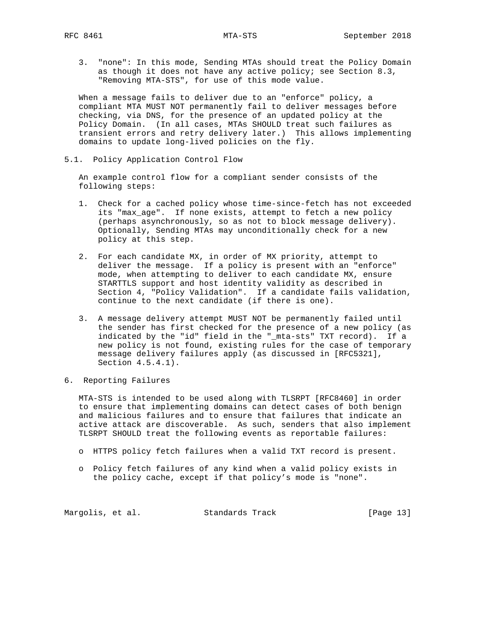3. "none": In this mode, Sending MTAs should treat the Policy Domain as though it does not have any active policy; see Section 8.3, "Removing MTA-STS", for use of this mode value.

 When a message fails to deliver due to an "enforce" policy, a compliant MTA MUST NOT permanently fail to deliver messages before checking, via DNS, for the presence of an updated policy at the Policy Domain. (In all cases, MTAs SHOULD treat such failures as transient errors and retry delivery later.) This allows implementing domains to update long-lived policies on the fly.

5.1. Policy Application Control Flow

 An example control flow for a compliant sender consists of the following steps:

- 1. Check for a cached policy whose time-since-fetch has not exceeded its "max\_age". If none exists, attempt to fetch a new policy (perhaps asynchronously, so as not to block message delivery). Optionally, Sending MTAs may unconditionally check for a new policy at this step.
- 2. For each candidate MX, in order of MX priority, attempt to deliver the message. If a policy is present with an "enforce" mode, when attempting to deliver to each candidate MX, ensure STARTTLS support and host identity validity as described in Section 4, "Policy Validation". If a candidate fails validation, continue to the next candidate (if there is one).
- 3. A message delivery attempt MUST NOT be permanently failed until the sender has first checked for the presence of a new policy (as indicated by the "id" field in the "\_mta-sts" TXT record). If a new policy is not found, existing rules for the case of temporary message delivery failures apply (as discussed in [RFC5321], Section 4.5.4.1).
- 6. Reporting Failures

 MTA-STS is intended to be used along with TLSRPT [RFC8460] in order to ensure that implementing domains can detect cases of both benign and malicious failures and to ensure that failures that indicate an active attack are discoverable. As such, senders that also implement TLSRPT SHOULD treat the following events as reportable failures:

- o HTTPS policy fetch failures when a valid TXT record is present.
- o Policy fetch failures of any kind when a valid policy exists in the policy cache, except if that policy's mode is "none".

Margolis, et al. Standards Track [Page 13]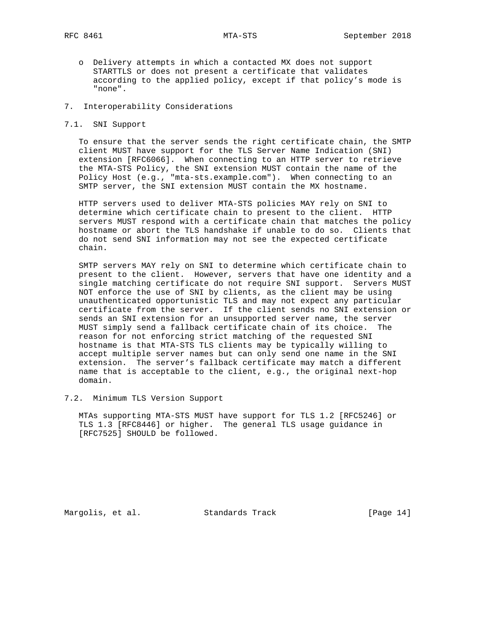- o Delivery attempts in which a contacted MX does not support STARTTLS or does not present a certificate that validates according to the applied policy, except if that policy's mode is "none".
- 7. Interoperability Considerations
- 7.1. SNI Support

 To ensure that the server sends the right certificate chain, the SMTP client MUST have support for the TLS Server Name Indication (SNI) extension [RFC6066]. When connecting to an HTTP server to retrieve the MTA-STS Policy, the SNI extension MUST contain the name of the Policy Host (e.g., "mta-sts.example.com"). When connecting to an SMTP server, the SNI extension MUST contain the MX hostname.

 HTTP servers used to deliver MTA-STS policies MAY rely on SNI to determine which certificate chain to present to the client. HTTP servers MUST respond with a certificate chain that matches the policy hostname or abort the TLS handshake if unable to do so. Clients that do not send SNI information may not see the expected certificate chain.

 SMTP servers MAY rely on SNI to determine which certificate chain to present to the client. However, servers that have one identity and a single matching certificate do not require SNI support. Servers MUST NOT enforce the use of SNI by clients, as the client may be using unauthenticated opportunistic TLS and may not expect any particular certificate from the server. If the client sends no SNI extension or sends an SNI extension for an unsupported server name, the server MUST simply send a fallback certificate chain of its choice. The reason for not enforcing strict matching of the requested SNI hostname is that MTA-STS TLS clients may be typically willing to accept multiple server names but can only send one name in the SNI extension. The server's fallback certificate may match a different name that is acceptable to the client, e.g., the original next-hop domain.

7.2. Minimum TLS Version Support

 MTAs supporting MTA-STS MUST have support for TLS 1.2 [RFC5246] or TLS 1.3 [RFC8446] or higher. The general TLS usage guidance in [RFC7525] SHOULD be followed.

Margolis, et al. Standards Track [Page 14]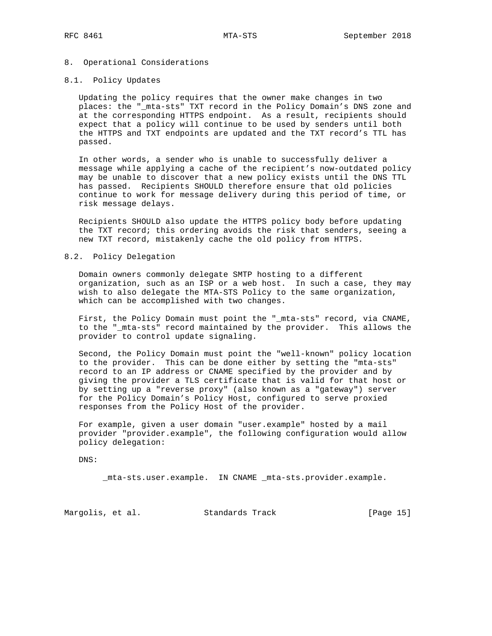## 8. Operational Considerations

## 8.1. Policy Updates

 Updating the policy requires that the owner make changes in two places: the "\_mta-sts" TXT record in the Policy Domain's DNS zone and at the corresponding HTTPS endpoint. As a result, recipients should expect that a policy will continue to be used by senders until both the HTTPS and TXT endpoints are updated and the TXT record's TTL has passed.

 In other words, a sender who is unable to successfully deliver a message while applying a cache of the recipient's now-outdated policy may be unable to discover that a new policy exists until the DNS TTL has passed. Recipients SHOULD therefore ensure that old policies continue to work for message delivery during this period of time, or risk message delays.

 Recipients SHOULD also update the HTTPS policy body before updating the TXT record; this ordering avoids the risk that senders, seeing a new TXT record, mistakenly cache the old policy from HTTPS.

### 8.2. Policy Delegation

 Domain owners commonly delegate SMTP hosting to a different organization, such as an ISP or a web host. In such a case, they may wish to also delegate the MTA-STS Policy to the same organization, which can be accomplished with two changes.

 First, the Policy Domain must point the "\_mta-sts" record, via CNAME, to the "\_mta-sts" record maintained by the provider. This allows the provider to control update signaling.

 Second, the Policy Domain must point the "well-known" policy location to the provider. This can be done either by setting the "mta-sts" record to an IP address or CNAME specified by the provider and by giving the provider a TLS certificate that is valid for that host or by setting up a "reverse proxy" (also known as a "gateway") server for the Policy Domain's Policy Host, configured to serve proxied responses from the Policy Host of the provider.

 For example, given a user domain "user.example" hosted by a mail provider "provider.example", the following configuration would allow policy delegation:

DNS:

\_mta-sts.user.example. IN CNAME \_mta-sts.provider.example.

Margolis, et al. Standards Track [Page 15]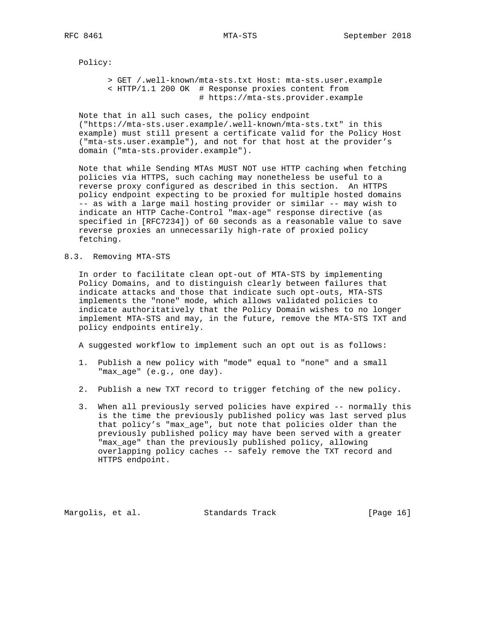Policy:

 > GET /.well-known/mta-sts.txt Host: mta-sts.user.example < HTTP/1.1 200 OK # Response proxies content from # https://mta-sts.provider.example

 Note that in all such cases, the policy endpoint ("https://mta-sts.user.example/.well-known/mta-sts.txt" in this example) must still present a certificate valid for the Policy Host ("mta-sts.user.example"), and not for that host at the provider's domain ("mta-sts.provider.example").

 Note that while Sending MTAs MUST NOT use HTTP caching when fetching policies via HTTPS, such caching may nonetheless be useful to a reverse proxy configured as described in this section. An HTTPS policy endpoint expecting to be proxied for multiple hosted domains -- as with a large mail hosting provider or similar -- may wish to indicate an HTTP Cache-Control "max-age" response directive (as specified in [RFC7234]) of 60 seconds as a reasonable value to save reverse proxies an unnecessarily high-rate of proxied policy fetching.

### 8.3. Removing MTA-STS

 In order to facilitate clean opt-out of MTA-STS by implementing Policy Domains, and to distinguish clearly between failures that indicate attacks and those that indicate such opt-outs, MTA-STS implements the "none" mode, which allows validated policies to indicate authoritatively that the Policy Domain wishes to no longer implement MTA-STS and may, in the future, remove the MTA-STS TXT and policy endpoints entirely.

A suggested workflow to implement such an opt out is as follows:

- 1. Publish a new policy with "mode" equal to "none" and a small "max\_age" (e.g., one day).
- 2. Publish a new TXT record to trigger fetching of the new policy.
- 3. When all previously served policies have expired -- normally this is the time the previously published policy was last served plus that policy's "max\_age", but note that policies older than the previously published policy may have been served with a greater "max\_age" than the previously published policy, allowing overlapping policy caches -- safely remove the TXT record and HTTPS endpoint.

Margolis, et al. Standards Track [Page 16]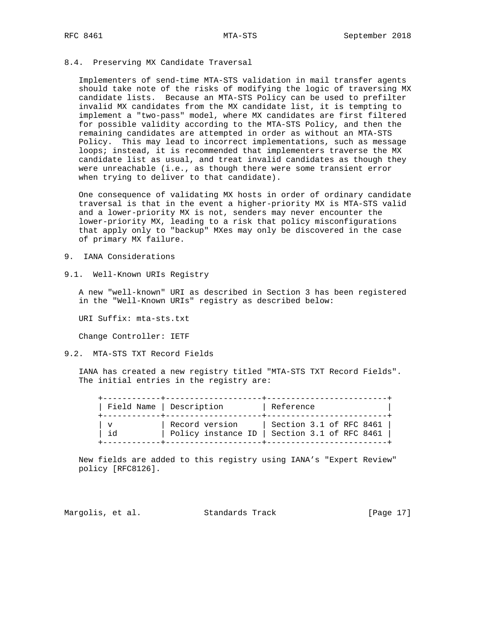### 8.4. Preserving MX Candidate Traversal

 Implementers of send-time MTA-STS validation in mail transfer agents should take note of the risks of modifying the logic of traversing MX candidate lists. Because an MTA-STS Policy can be used to prefilter invalid MX candidates from the MX candidate list, it is tempting to implement a "two-pass" model, where MX candidates are first filtered for possible validity according to the MTA-STS Policy, and then the remaining candidates are attempted in order as without an MTA-STS Policy. This may lead to incorrect implementations, such as message loops; instead, it is recommended that implementers traverse the MX candidate list as usual, and treat invalid candidates as though they were unreachable (i.e., as though there were some transient error when trying to deliver to that candidate).

 One consequence of validating MX hosts in order of ordinary candidate traversal is that in the event a higher-priority MX is MTA-STS valid and a lower-priority MX is not, senders may never encounter the lower-priority MX, leading to a risk that policy misconfigurations that apply only to "backup" MXes may only be discovered in the case of primary MX failure.

- 9. IANA Considerations
- 9.1. Well-Known URIs Registry

 A new "well-known" URI as described in Section 3 has been registered in the "Well-Known URIs" registry as described below:

URI Suffix: mta-sts.txt

Change Controller: IETF

9.2. MTA-STS TXT Record Fields

 IANA has created a new registry titled "MTA-STS TXT Record Fields". The initial entries in the registry are:

|     | Field Name   Description             | Reference                                          |
|-----|--------------------------------------|----------------------------------------------------|
| i d | Record version<br>Policy instance ID | Section 3.1 of RFC 8461<br>Section 3.1 of RFC 8461 |

 New fields are added to this registry using IANA's "Expert Review" policy [RFC8126].

Margolis, et al. Standards Track [Page 17]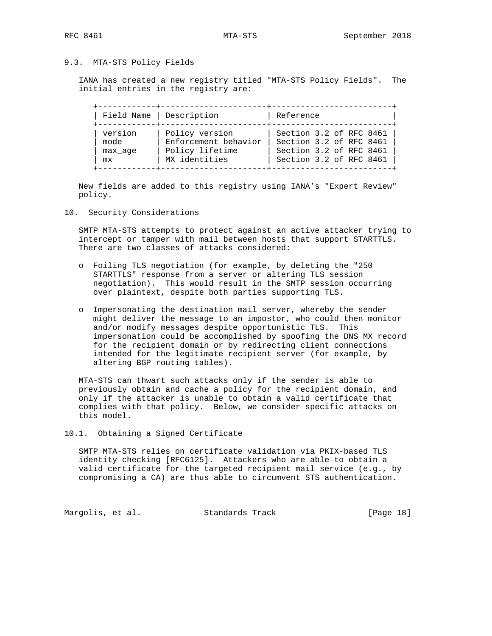# 9.3. MTA-STS Policy Fields

 IANA has created a new registry titled "MTA-STS Policy Fields". The initial entries in the registry are:

| Field Name   Description         |
|----------------------------------|
| version<br>mode<br>max age<br>mx |

 New fields are added to this registry using IANA's "Expert Review" policy.

10. Security Considerations

 SMTP MTA-STS attempts to protect against an active attacker trying to intercept or tamper with mail between hosts that support STARTTLS. There are two classes of attacks considered:

- o Foiling TLS negotiation (for example, by deleting the "250 STARTTLS" response from a server or altering TLS session negotiation). This would result in the SMTP session occurring over plaintext, despite both parties supporting TLS.
- o Impersonating the destination mail server, whereby the sender might deliver the message to an impostor, who could then monitor and/or modify messages despite opportunistic TLS. This impersonation could be accomplished by spoofing the DNS MX record for the recipient domain or by redirecting client connections intended for the legitimate recipient server (for example, by altering BGP routing tables).

 MTA-STS can thwart such attacks only if the sender is able to previously obtain and cache a policy for the recipient domain, and only if the attacker is unable to obtain a valid certificate that complies with that policy. Below, we consider specific attacks on this model.

10.1. Obtaining a Signed Certificate

 SMTP MTA-STS relies on certificate validation via PKIX-based TLS identity checking [RFC6125]. Attackers who are able to obtain a valid certificate for the targeted recipient mail service (e.g., by compromising a CA) are thus able to circumvent STS authentication.

Margolis, et al. Standards Track [Page 18]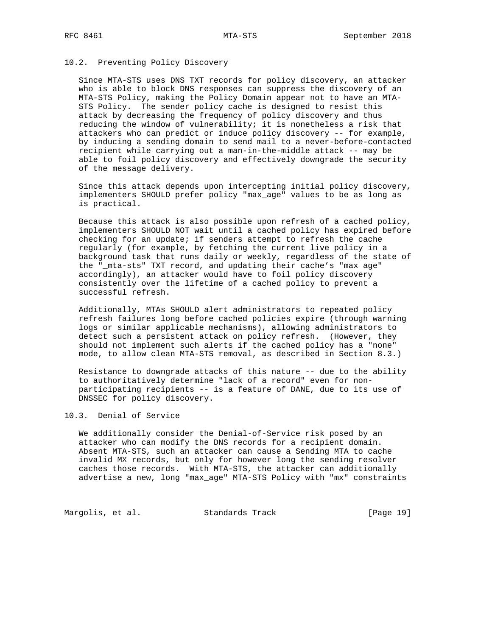## 10.2. Preventing Policy Discovery

 Since MTA-STS uses DNS TXT records for policy discovery, an attacker who is able to block DNS responses can suppress the discovery of an MTA-STS Policy, making the Policy Domain appear not to have an MTA- STS Policy. The sender policy cache is designed to resist this attack by decreasing the frequency of policy discovery and thus reducing the window of vulnerability; it is nonetheless a risk that attackers who can predict or induce policy discovery -- for example, by inducing a sending domain to send mail to a never-before-contacted recipient while carrying out a man-in-the-middle attack -- may be able to foil policy discovery and effectively downgrade the security of the message delivery.

 Since this attack depends upon intercepting initial policy discovery, implementers SHOULD prefer policy "max\_age" values to be as long as is practical.

 Because this attack is also possible upon refresh of a cached policy, implementers SHOULD NOT wait until a cached policy has expired before checking for an update; if senders attempt to refresh the cache regularly (for example, by fetching the current live policy in a background task that runs daily or weekly, regardless of the state of the "\_mta-sts" TXT record, and updating their cache's "max age" accordingly), an attacker would have to foil policy discovery consistently over the lifetime of a cached policy to prevent a successful refresh.

 Additionally, MTAs SHOULD alert administrators to repeated policy refresh failures long before cached policies expire (through warning logs or similar applicable mechanisms), allowing administrators to detect such a persistent attack on policy refresh. (However, they should not implement such alerts if the cached policy has a "none" mode, to allow clean MTA-STS removal, as described in Section 8.3.)

 Resistance to downgrade attacks of this nature -- due to the ability to authoritatively determine "lack of a record" even for non participating recipients -- is a feature of DANE, due to its use of DNSSEC for policy discovery.

### 10.3. Denial of Service

 We additionally consider the Denial-of-Service risk posed by an attacker who can modify the DNS records for a recipient domain. Absent MTA-STS, such an attacker can cause a Sending MTA to cache invalid MX records, but only for however long the sending resolver caches those records. With MTA-STS, the attacker can additionally advertise a new, long "max\_age" MTA-STS Policy with "mx" constraints

Margolis, et al. Standards Track [Page 19]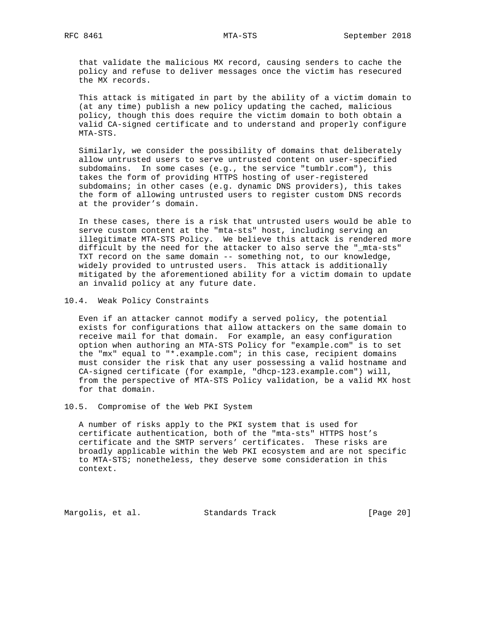that validate the malicious MX record, causing senders to cache the policy and refuse to deliver messages once the victim has resecured the MX records.

 This attack is mitigated in part by the ability of a victim domain to (at any time) publish a new policy updating the cached, malicious policy, though this does require the victim domain to both obtain a valid CA-signed certificate and to understand and properly configure MTA-STS.

 Similarly, we consider the possibility of domains that deliberately allow untrusted users to serve untrusted content on user-specified subdomains. In some cases (e.g., the service "tumblr.com"), this takes the form of providing HTTPS hosting of user-registered subdomains; in other cases (e.g. dynamic DNS providers), this takes the form of allowing untrusted users to register custom DNS records at the provider's domain.

 In these cases, there is a risk that untrusted users would be able to serve custom content at the "mta-sts" host, including serving an illegitimate MTA-STS Policy. We believe this attack is rendered more difficult by the need for the attacker to also serve the "\_mta-sts" TXT record on the same domain -- something not, to our knowledge, widely provided to untrusted users. This attack is additionally mitigated by the aforementioned ability for a victim domain to update an invalid policy at any future date.

10.4. Weak Policy Constraints

 Even if an attacker cannot modify a served policy, the potential exists for configurations that allow attackers on the same domain to receive mail for that domain. For example, an easy configuration option when authoring an MTA-STS Policy for "example.com" is to set the "mx" equal to "\*.example.com"; in this case, recipient domains must consider the risk that any user possessing a valid hostname and CA-signed certificate (for example, "dhcp-123.example.com") will, from the perspective of MTA-STS Policy validation, be a valid MX host for that domain.

10.5. Compromise of the Web PKI System

 A number of risks apply to the PKI system that is used for certificate authentication, both of the "mta-sts" HTTPS host's certificate and the SMTP servers' certificates. These risks are broadly applicable within the Web PKI ecosystem and are not specific to MTA-STS; nonetheless, they deserve some consideration in this context.

Margolis, et al. Standards Track [Page 20]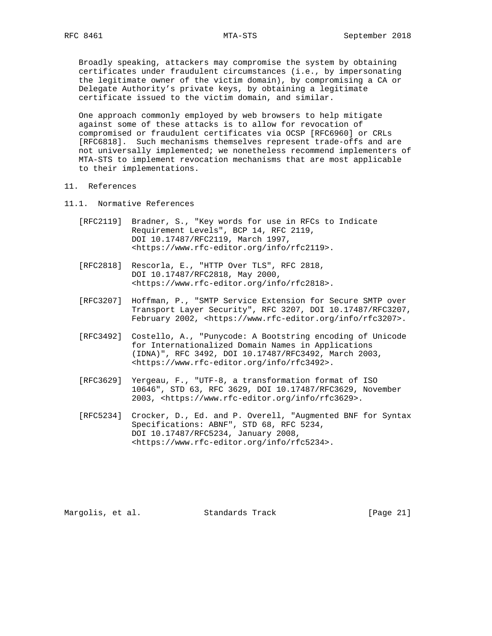Broadly speaking, attackers may compromise the system by obtaining certificates under fraudulent circumstances (i.e., by impersonating the legitimate owner of the victim domain), by compromising a CA or Delegate Authority's private keys, by obtaining a legitimate certificate issued to the victim domain, and similar.

 One approach commonly employed by web browsers to help mitigate against some of these attacks is to allow for revocation of compromised or fraudulent certificates via OCSP [RFC6960] or CRLs [RFC6818]. Such mechanisms themselves represent trade-offs and are not universally implemented; we nonetheless recommend implementers of MTA-STS to implement revocation mechanisms that are most applicable to their implementations.

- 11. References
- 11.1. Normative References
	- [RFC2119] Bradner, S., "Key words for use in RFCs to Indicate Requirement Levels", BCP 14, RFC 2119, DOI 10.17487/RFC2119, March 1997, <https://www.rfc-editor.org/info/rfc2119>.
	- [RFC2818] Rescorla, E., "HTTP Over TLS", RFC 2818, DOI 10.17487/RFC2818, May 2000, <https://www.rfc-editor.org/info/rfc2818>.
	- [RFC3207] Hoffman, P., "SMTP Service Extension for Secure SMTP over Transport Layer Security", RFC 3207, DOI 10.17487/RFC3207, February 2002, <https://www.rfc-editor.org/info/rfc3207>.
	- [RFC3492] Costello, A., "Punycode: A Bootstring encoding of Unicode for Internationalized Domain Names in Applications (IDNA)", RFC 3492, DOI 10.17487/RFC3492, March 2003, <https://www.rfc-editor.org/info/rfc3492>.
	- [RFC3629] Yergeau, F., "UTF-8, a transformation format of ISO 10646", STD 63, RFC 3629, DOI 10.17487/RFC3629, November 2003, <https://www.rfc-editor.org/info/rfc3629>.
	- [RFC5234] Crocker, D., Ed. and P. Overell, "Augmented BNF for Syntax Specifications: ABNF", STD 68, RFC 5234, DOI 10.17487/RFC5234, January 2008, <https://www.rfc-editor.org/info/rfc5234>.

Margolis, et al. Standards Track [Page 21]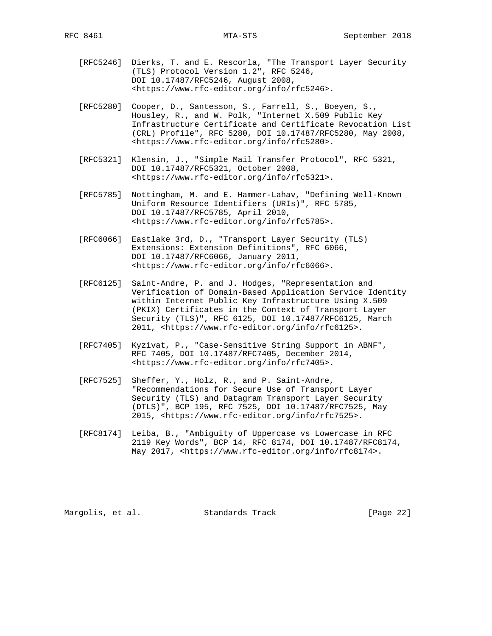- [RFC5246] Dierks, T. and E. Rescorla, "The Transport Layer Security (TLS) Protocol Version 1.2", RFC 5246, DOI 10.17487/RFC5246, August 2008, <https://www.rfc-editor.org/info/rfc5246>.
- [RFC5280] Cooper, D., Santesson, S., Farrell, S., Boeyen, S., Housley, R., and W. Polk, "Internet X.509 Public Key Infrastructure Certificate and Certificate Revocation List (CRL) Profile", RFC 5280, DOI 10.17487/RFC5280, May 2008, <https://www.rfc-editor.org/info/rfc5280>.
- [RFC5321] Klensin, J., "Simple Mail Transfer Protocol", RFC 5321, DOI 10.17487/RFC5321, October 2008, <https://www.rfc-editor.org/info/rfc5321>.
- [RFC5785] Nottingham, M. and E. Hammer-Lahav, "Defining Well-Known Uniform Resource Identifiers (URIs)", RFC 5785, DOI 10.17487/RFC5785, April 2010, <https://www.rfc-editor.org/info/rfc5785>.
- [RFC6066] Eastlake 3rd, D., "Transport Layer Security (TLS) Extensions: Extension Definitions", RFC 6066, DOI 10.17487/RFC6066, January 2011, <https://www.rfc-editor.org/info/rfc6066>.
- [RFC6125] Saint-Andre, P. and J. Hodges, "Representation and Verification of Domain-Based Application Service Identity within Internet Public Key Infrastructure Using X.509 (PKIX) Certificates in the Context of Transport Layer Security (TLS)", RFC 6125, DOI 10.17487/RFC6125, March 2011, <https://www.rfc-editor.org/info/rfc6125>.
- [RFC7405] Kyzivat, P., "Case-Sensitive String Support in ABNF", RFC 7405, DOI 10.17487/RFC7405, December 2014, <https://www.rfc-editor.org/info/rfc7405>.
- [RFC7525] Sheffer, Y., Holz, R., and P. Saint-Andre, "Recommendations for Secure Use of Transport Layer Security (TLS) and Datagram Transport Layer Security (DTLS)", BCP 195, RFC 7525, DOI 10.17487/RFC7525, May 2015, <https://www.rfc-editor.org/info/rfc7525>.
- [RFC8174] Leiba, B., "Ambiguity of Uppercase vs Lowercase in RFC 2119 Key Words", BCP 14, RFC 8174, DOI 10.17487/RFC8174, May 2017, <https://www.rfc-editor.org/info/rfc8174>.

Margolis, et al. Standards Track [Page 22]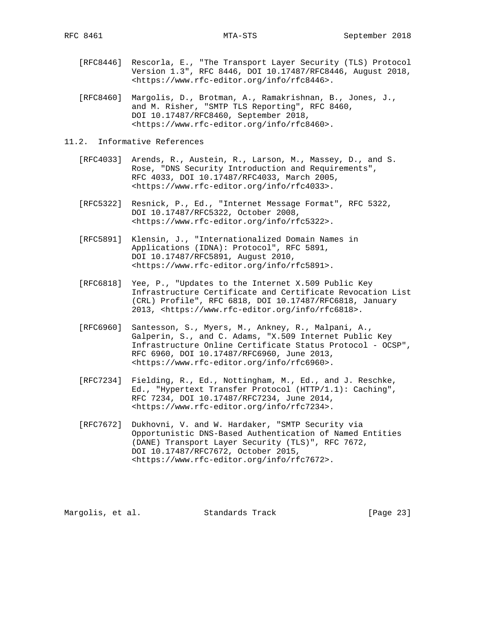- [RFC8446] Rescorla, E., "The Transport Layer Security (TLS) Protocol Version 1.3", RFC 8446, DOI 10.17487/RFC8446, August 2018, <https://www.rfc-editor.org/info/rfc8446>.
- [RFC8460] Margolis, D., Brotman, A., Ramakrishnan, B., Jones, J., and M. Risher, "SMTP TLS Reporting", RFC 8460, DOI 10.17487/RFC8460, September 2018, <https://www.rfc-editor.org/info/rfc8460>.
- 11.2. Informative References
	- [RFC4033] Arends, R., Austein, R., Larson, M., Massey, D., and S. Rose, "DNS Security Introduction and Requirements", RFC 4033, DOI 10.17487/RFC4033, March 2005, <https://www.rfc-editor.org/info/rfc4033>.
	- [RFC5322] Resnick, P., Ed., "Internet Message Format", RFC 5322, DOI 10.17487/RFC5322, October 2008, <https://www.rfc-editor.org/info/rfc5322>.
	- [RFC5891] Klensin, J., "Internationalized Domain Names in Applications (IDNA): Protocol", RFC 5891, DOI 10.17487/RFC5891, August 2010, <https://www.rfc-editor.org/info/rfc5891>.
	- [RFC6818] Yee, P., "Updates to the Internet X.509 Public Key Infrastructure Certificate and Certificate Revocation List (CRL) Profile", RFC 6818, DOI 10.17487/RFC6818, January 2013, <https://www.rfc-editor.org/info/rfc6818>.
	- [RFC6960] Santesson, S., Myers, M., Ankney, R., Malpani, A., Galperin, S., and C. Adams, "X.509 Internet Public Key Infrastructure Online Certificate Status Protocol - OCSP", RFC 6960, DOI 10.17487/RFC6960, June 2013, <https://www.rfc-editor.org/info/rfc6960>.
	- [RFC7234] Fielding, R., Ed., Nottingham, M., Ed., and J. Reschke, Ed., "Hypertext Transfer Protocol (HTTP/1.1): Caching", RFC 7234, DOI 10.17487/RFC7234, June 2014, <https://www.rfc-editor.org/info/rfc7234>.
	- [RFC7672] Dukhovni, V. and W. Hardaker, "SMTP Security via Opportunistic DNS-Based Authentication of Named Entities (DANE) Transport Layer Security (TLS)", RFC 7672, DOI 10.17487/RFC7672, October 2015, <https://www.rfc-editor.org/info/rfc7672>.

Margolis, et al. Standards Track [Page 23]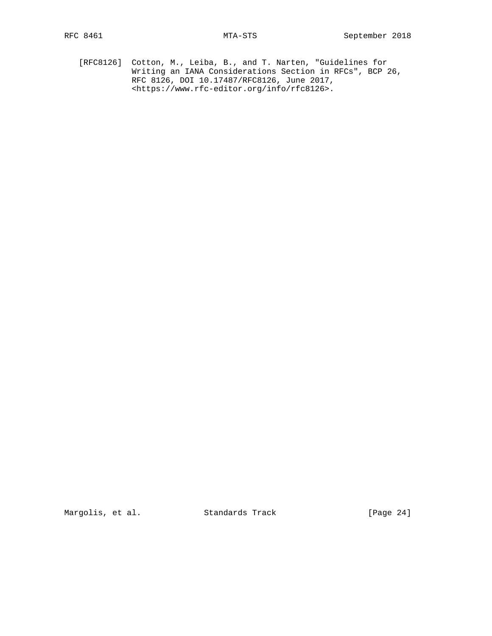[RFC8126] Cotton, M., Leiba, B., and T. Narten, "Guidelines for Writing an IANA Considerations Section in RFCs", BCP 26, RFC 8126, DOI 10.17487/RFC8126, June 2017, <https://www.rfc-editor.org/info/rfc8126>.

Margolis, et al. Standards Track [Page 24]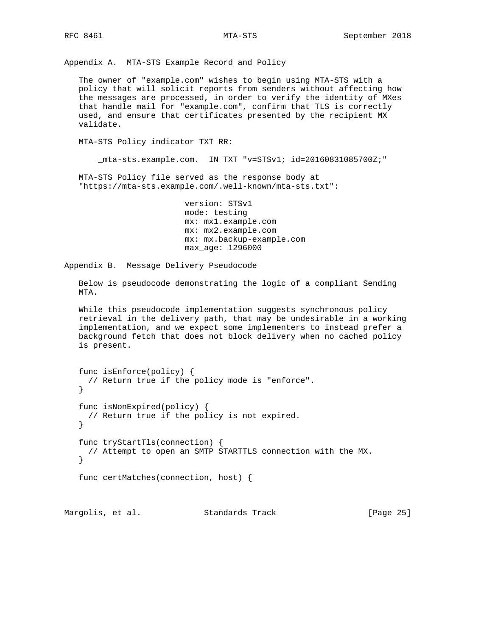Appendix A. MTA-STS Example Record and Policy

 The owner of "example.com" wishes to begin using MTA-STS with a policy that will solicit reports from senders without affecting how the messages are processed, in order to verify the identity of MXes that handle mail for "example.com", confirm that TLS is correctly used, and ensure that certificates presented by the recipient MX validate.

MTA-STS Policy indicator TXT RR:

\_mta-sts.example.com. IN TXT "v=STSv1; id=20160831085700Z;"

 MTA-STS Policy file served as the response body at "https://mta-sts.example.com/.well-known/mta-sts.txt":

> version: STSv1 mode: testing mx: mx1.example.com mx: mx2.example.com mx: mx.backup-example.com max\_age: 1296000

Appendix B. Message Delivery Pseudocode

 Below is pseudocode demonstrating the logic of a compliant Sending MTA.

 While this pseudocode implementation suggests synchronous policy retrieval in the delivery path, that may be undesirable in a working implementation, and we expect some implementers to instead prefer a background fetch that does not block delivery when no cached policy is present.

```
 func isEnforce(policy) {
 // Return true if the policy mode is "enforce".
 }
 func isNonExpired(policy) {
  // Return true if the policy is not expired.
 }
 func tryStartTls(connection) {
  // Attempt to open an SMTP STARTTLS connection with the MX.
 }
 func certMatches(connection, host) {
```
Margolis, et al. Standards Track [Page 25]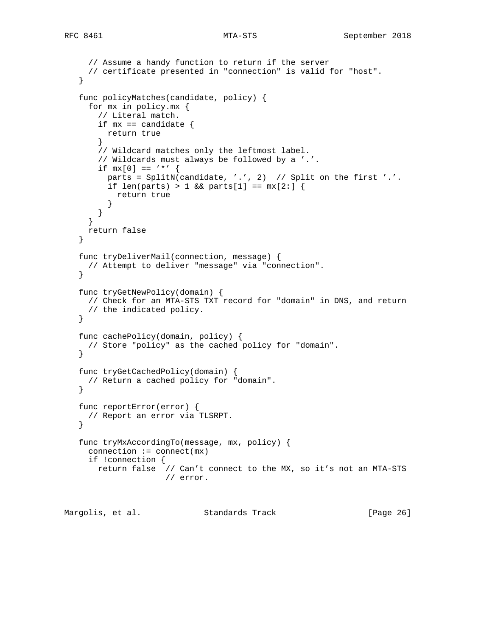```
 // Assume a handy function to return if the server
     // certificate presented in "connection" is valid for "host".
   }
   func policyMatches(candidate, policy) {
     for mx in policy.mx {
       // Literal match.
      if mx == candidate {
         return true
        }
       // Wildcard matches only the leftmost label.
       // Wildcards must always be followed by a '.'.
      if mx[0] == ' *' {
         parts = SplitN(candidate, '.', 2) // Split on the first '.'.
        if len(parts) > 1 && parts[1] == mx[2:] {
           return true
          }
       }
      }
     return false
   }
   func tryDeliverMail(connection, message) {
    // Attempt to deliver "message" via "connection".
   }
   func tryGetNewPolicy(domain) {
    // Check for an MTA-STS TXT record for "domain" in DNS, and return
     // the indicated policy.
    }
   func cachePolicy(domain, policy) {
    // Store "policy" as the cached policy for "domain".
 }
   func tryGetCachedPolicy(domain) {
    // Return a cached policy for "domain".
   }
   func reportError(error) {
    // Report an error via TLSRPT.
   }
   func tryMxAccordingTo(message, mx, policy) {
    connection := connect(mx)
     if !connection {
       return false // Can't connect to the MX, so it's not an MTA-STS
                      // error.
```
Margolis, et al. Standards Track [Page 26]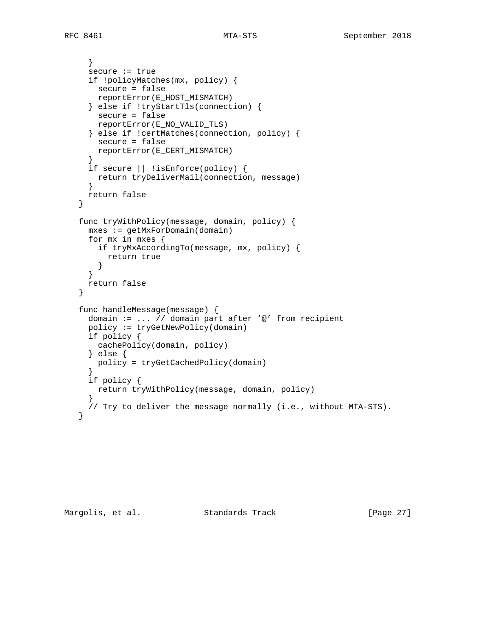```
 }
     secure := true
     if !policyMatches(mx, policy) {
       secure = false
       reportError(E_HOST_MISMATCH)
      } else if !tryStartTls(connection) {
       secure = false
       reportError(E_NO_VALID_TLS)
      } else if !certMatches(connection, policy) {
       secure = false
       reportError(E_CERT_MISMATCH)
      }
     if secure || !isEnforce(policy) {
       return tryDeliverMail(connection, message)
      }
     return false
   }
   func tryWithPolicy(message, domain, policy) {
     mxes := getMxForDomain(domain)
     for mx in mxes {
       if tryMxAccordingTo(message, mx, policy) {
          return true
        }
      }
     return false
   }
   func handleMessage(message) {
     domain := ... // domain part after '@' from recipient
     policy := tryGetNewPolicy(domain)
     if policy {
       cachePolicy(domain, policy)
      } else {
       policy = tryGetCachedPolicy(domain)
      }
     if policy {
       return tryWithPolicy(message, domain, policy)
 }
      // Try to deliver the message normally (i.e., without MTA-STS).
    }
```
Margolis, et al. Standards Track [Page 27]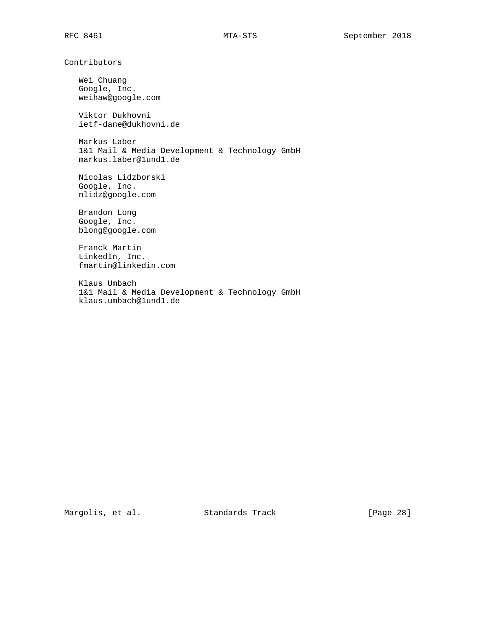Contributors

 Wei Chuang Google, Inc. weihaw@google.com

 Viktor Dukhovni ietf-dane@dukhovni.de

 Markus Laber 1&1 Mail & Media Development & Technology GmbH markus.laber@1und1.de

 Nicolas Lidzborski Google, Inc. nlidz@google.com

 Brandon Long Google, Inc. blong@google.com

 Franck Martin LinkedIn, Inc. fmartin@linkedin.com

 Klaus Umbach 1&1 Mail & Media Development & Technology GmbH klaus.umbach@1und1.de

Margolis, et al. Standards Track [Page 28]